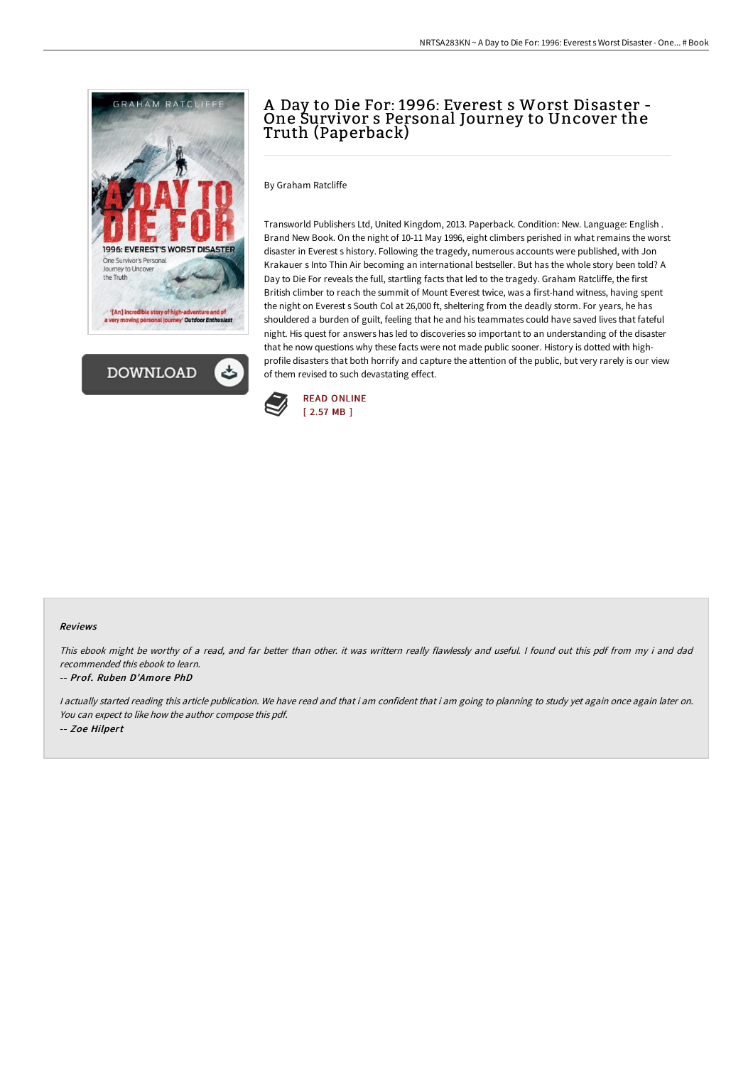



## <sup>A</sup> Day to Die For: 1996: Everest <sup>s</sup> Worst Disaster - One Survivor <sup>s</sup> Personal Journey to Uncover the Truth (Paperback)

By Graham Ratcliffe

Transworld Publishers Ltd, United Kingdom, 2013. Paperback. Condition: New. Language: English . Brand New Book. On the night of 10-11 May 1996, eight climbers perished in what remains the worst disaster in Everest s history. Following the tragedy, numerous accounts were published, with Jon Krakauer s Into Thin Air becoming an international bestseller. But has the whole story been told? A Day to Die For reveals the full, startling facts that led to the tragedy. Graham Ratcliffe, the first British climber to reach the summit of Mount Everest twice, was a first-hand witness, having spent the night on Everest s South Col at 26,000 ft, sheltering from the deadly storm. For years, he has shouldered a burden of guilt, feeling that he and his teammates could have saved lives that fateful night. His quest for answers has led to discoveries so important to an understanding of the disaster that he now questions why these facts were not made public sooner. History is dotted with highprofile disasters that both horrify and capture the attention of the public, but very rarely is our view of them revised to such devastating effect.



## Reviews

This ebook might be worthy of <sup>a</sup> read, and far better than other. it was writtern really flawlessly and useful. <sup>I</sup> found out this pdf from my i and dad recommended this ebook to learn.

## -- Prof. Ruben D'Amore PhD

I actually started reading this article publication. We have read and that i am confident that i am going to planning to study yet again once again later on. You can expect to like how the author compose this pdf. -- Zoe Hilpert